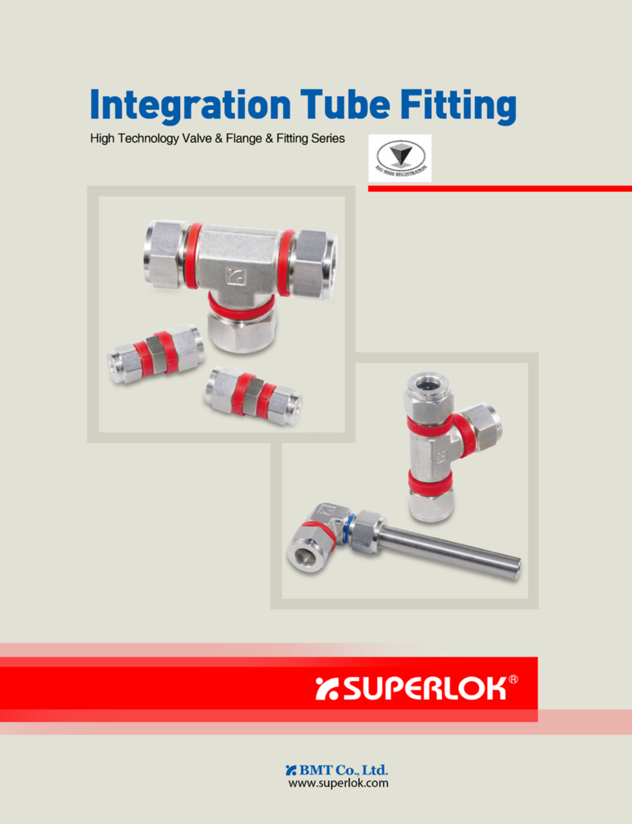# **Integration Tube Fitting**

High Technology Valve & Flange & Fitting Series





## **EXAMPERLOK®**

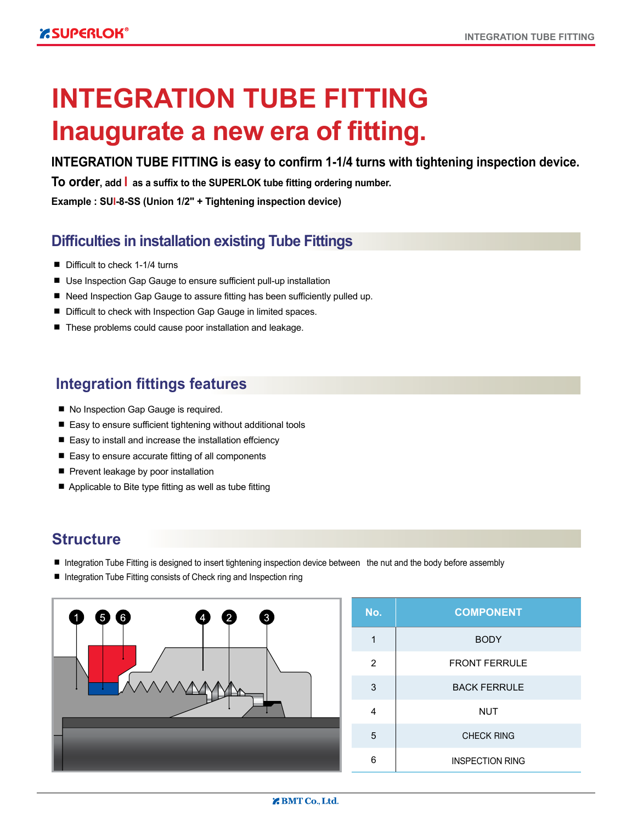### **INTEGRATION TUBE FITTING Inaugurate a new era of fitting.**

#### **INTEGRATION TUBE FITTING is easy to confirm 1-1/4 turns with tightening inspection device.**

**To order, add I as a suffix to the SUPERLOK tube fitting ordering number.**

**Example : SUI-8-SS (Union 1/2" + Tightening inspection device)**

#### **Difficulties in installation existing Tube Fittings**

- Difficult to check 1-1/4 turns
- Use Inspection Gap Gauge to ensure sufficient pull-up installation
- Need Inspection Gap Gauge to assure fitting has been sufficiently pulled up.
- Difficult to check with Inspection Gap Gauge in limited spaces.
- These problems could cause poor installation and leakage.

#### **Integration fittings features**

- No Inspection Gap Gauge is required.
- Easy to ensure sufficient tightening without additional tools
- Easy to install and increase the installation effciency
- Easy to ensure accurate fitting of all components
- Prevent leakage by poor installation
- Applicable to Bite type fitting as well as tube fitting

#### **Structure**

- Integration Tube Fitting is designed to insert tightening inspection device between the nut and the body before assembly
- Integration Tube Fitting consists of Check ring and Inspection ring



| No. | <b>COMPONENT</b>       |  |  |  |  |  |  |  |  |
|-----|------------------------|--|--|--|--|--|--|--|--|
| 1   | <b>BODY</b>            |  |  |  |  |  |  |  |  |
| 2   | <b>FRONT FERRULE</b>   |  |  |  |  |  |  |  |  |
| 3   | <b>BACK FERRULE</b>    |  |  |  |  |  |  |  |  |
| 4   | <b>NUT</b>             |  |  |  |  |  |  |  |  |
| 5   | <b>CHECK RING</b>      |  |  |  |  |  |  |  |  |
| 6   | <b>INSPECTION RING</b> |  |  |  |  |  |  |  |  |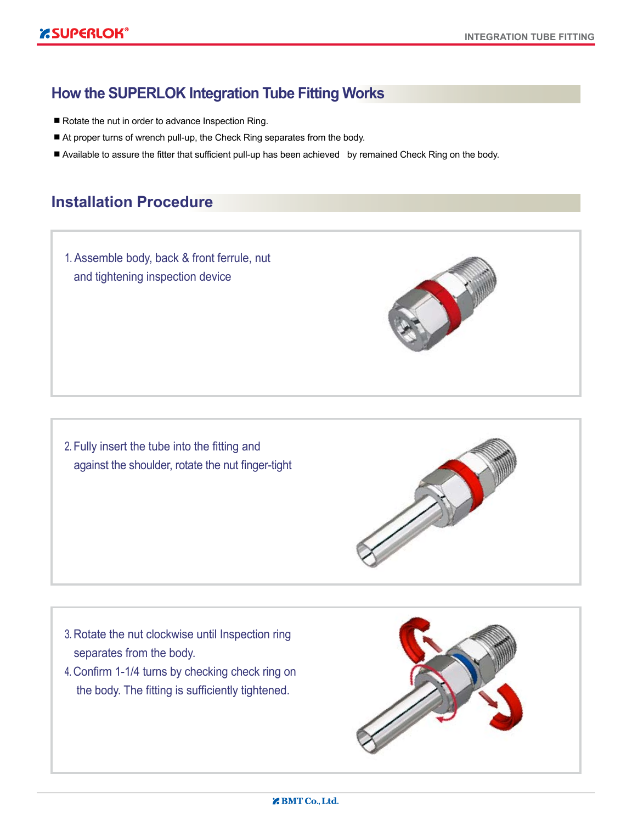#### **How the SUPERLOK Integration Tube Fitting Works**

- Rotate the nut in order to advance Inspection Ring.
- At proper turns of wrench pull-up, the Check Ring separates from the body.
- Available to assure the fitter that sufficient pull-up has been achieved by remained Check Ring on the body.

#### **Installation Procedure**

1. Assemble body, back & front ferrule, nut and tightening inspection device

2. Fully insert the tube into the fitting and against the shoulder, rotate the nut finger-tight



- 3. Rotate the nut clockwise until Inspection ring separates from the body.
- 4. Confirm 1-1/4 turns by checking check ring on the body. The fitting is sufficiently tightened.